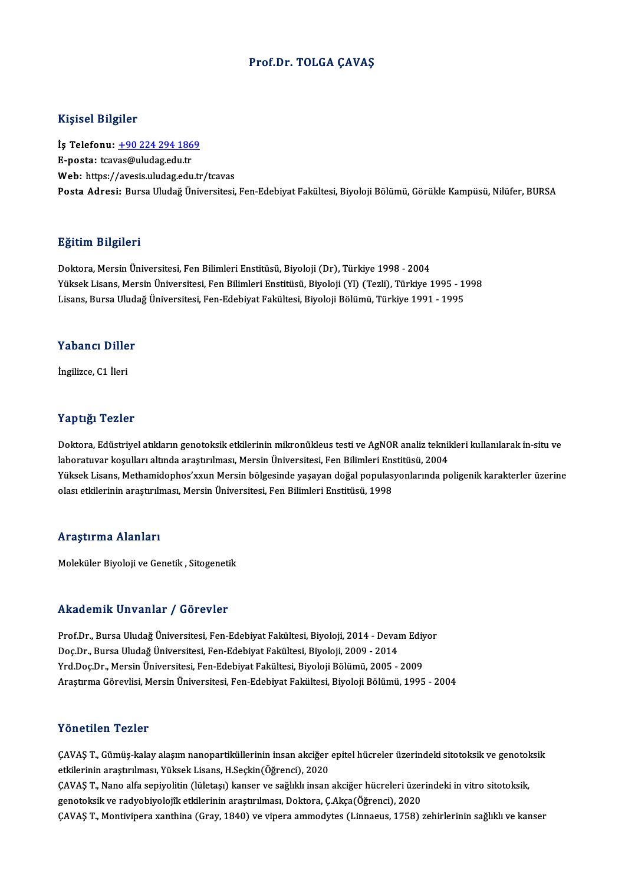## Prof.Dr. TOLGA ÇAVAŞ

## Kişisel Bilgiler

Kişisel Bilgiler<br>İş Telefonu: <u>+90 224 294 1869</u><br>E nosta: tavçe@uludasedu tr 11191001 D1191101<br>İş Telefonu: <u>+90 224 294 186</u><br>E-posta: tcav[as@uludag.edu.tr](tel:+90 224 294 1869) E-posta: tcavas@uludag.edu.tr<br>Web: https://avesis.uludag.edu.tr/tcavas Posta Adresi: Bursa Uludağ Üniversitesi, Fen-Edebiyat Fakültesi, Biyoloji Bölümü, Görükle Kampüsü, Nilüfer, BURSA

### Eğitim Bilgileri

Doktora, Mersin Üniversitesi, Fen Bilimleri Enstitüsü, Biyoloji (Dr), Türkiye 1998 - 2004 25.<br>1998 - Doktora, Mersin Üniversitesi, Fen Bilimleri Enstitüsü, Biyoloji (Dr), Türkiye 1998 - 2004<br>Yüksek Lisans, Mersin Üniversitesi, Fen Bilimleri Enstitüsü, Biyoloji (Yl) (Tezli), Türkiye 1995 - 1998<br>Lisans, Burse Ulu Doktora, Mersin Üniversitesi, Fen Bilimleri Enstitüsü, Biyoloji (Dr), Türkiye 1998 - 2004<br>Yüksek Lisans, Mersin Üniversitesi, Fen Bilimleri Enstitüsü, Biyoloji (Yl) (Tezli), Türkiye 1995 - 1'<br>Lisans, Bursa Uludağ Üniversit Lisans, Bursa Uludağ Üniversitesi, Fen-Edebiyat Fakültesi, Biyoloji Bölümü, Türkiye 1991 - 1995<br>Yabancı Diller

İngilizce,C1 İleri

## Yaptığı Tezler

Doktora, Edüstriyel atıkların genotoksik etkilerinin mikronükleus testi ve AgNOR analiz teknikleri kullanılarak in-situ ve laboratuvar koşulları altında araştırılması, Mersin Üniversitesi, Fen Bilimleri Enstitüsü, 2004 Doktora, Edüstriyel atıkların genotoksik etkilerinin mikronükleus testi ve AgNOR analiz teknikleri kullanılarak in-situ ve<br>laboratuvar koşulları altında araştırılması, Mersin Üniversitesi, Fen Bilimleri Enstitüsü, 2004<br>Yük laboratuvar koşulları altında araştırılması, Mersin Üniversitesi, Fen Bilimleri Ens<br>Yüksek Lisans, Methamidophos'xxun Mersin bölgesinde yaşayan doğal populas<sub>.</sub><br>olası etkilerinin araştırılması, Mersin Üniversitesi, Fen Bil olası etkilerinin araştırılması, Mersin Üniversitesi, Fen Bilimleri Enstitüsü, 1998<br>Araştırma Alanları

Moleküler Biyoloji ve Genetik, Sitogenetik

## Akademik Unvanlar / Görevler

Akademik Unvanlar / Görevler<br>Prof.Dr., Bursa Uludağ Üniversitesi, Fen-Edebiyat Fakültesi, Biyoloji, 2014 - Devam Ediyor<br>Des Dr., Bursa Uludağ Üniversitesi, Fen-Edebiyat Fakültesi, Biyoloji, 2000, 2014 rritat ormi on vannar 7 dörevler<br>Prof.Dr., Bursa Uludağ Üniversitesi, Fen-Edebiyat Fakültesi, Biyoloji, 2014 - Devai<br>Doç.Dr., Bursa Uludağ Üniversitesi, Fen-Edebiyat Fakültesi, Biyoloji, 2009 - 2014<br>Vrd Doc.Dr., Morsin Üni Prof.Dr., Bursa Uludağ Üniversitesi, Fen-Edebiyat Fakültesi, Biyoloji, 2014 - Devam Ediy<br>Doç.Dr., Bursa Uludağ Üniversitesi, Fen-Edebiyat Fakültesi, Biyoloji, 2009 - 2014<br>Yrd.Doç.Dr., Mersin Üniversitesi, Fen-Edebiyat Fakü Doç.Dr., Bursa Uludağ Üniversitesi, Fen-Edebiyat Fakültesi, Biyoloji, 2009 - 2014<br>Yrd.Doç.Dr., Mersin Üniversitesi, Fen-Edebiyat Fakültesi, Biyoloji Bölümü, 2005 - 2009<br>Araştırma Görevlisi, Mersin Üniversitesi, Fen-Edebiya

### Yönetilen Tezler

Yönetilen Tezler<br>ÇAVAŞ T., Gümüş-kalay alaşım nanopartiküllerinin insan akciğer epitel hücreler üzerindeki sitotoksik ve genotoksik<br>Strilarinin anastrulması Yülsely Lisans H Seskin(Öğrensi), 2020 r orrocrrorr ir orror<br>ÇAVAŞ T., Gümüş-kalay alaşım nanopartiküllerinin insan akciğer<br>etkilerinin araştırılması, Yüksek Lisans, H.Seçkin(Öğrenci), 2020<br>CAVAS T. Nano alfa soniyalitin (Jületes) kansan ve sağlıklı insan ÇAVAŞ T., Gümüş-kalay alaşım nanopartiküllerinin insan akciğer epitel hücreler üzerindeki sitotoksik ve genotol<br>etkilerinin araştırılması, Yüksek Lisans, H.Seçkin(Öğrenci), 2020<br>ÇAVAŞ T., Nano alfa sepiyolitin (lületaşı) k etkilerinin araştırılması, Yüksek Lisans, H.Seçkin(Öğrenci), 2020<br>ÇAVAŞ T., Nano alfa sepiyolitin (lületaşı) kanser ve sağlıklı insan akciğer hücreleri üzer<br>genotoksik ve radyobiyolojîk etkilerinin araştırılması, Doktora, ÇAVAŞ T., Nano alfa sepiyolitin (lületaşı) kanser ve sağlıklı insan akciğer hücreleri üzerindeki in vitro sitotoksik,<br>genotoksik ve radyobiyolojîk etkilerinin araştırılması, Doktora, Ç.Akça(Öğrenci), 2020<br>ÇAVAŞ T., Montivi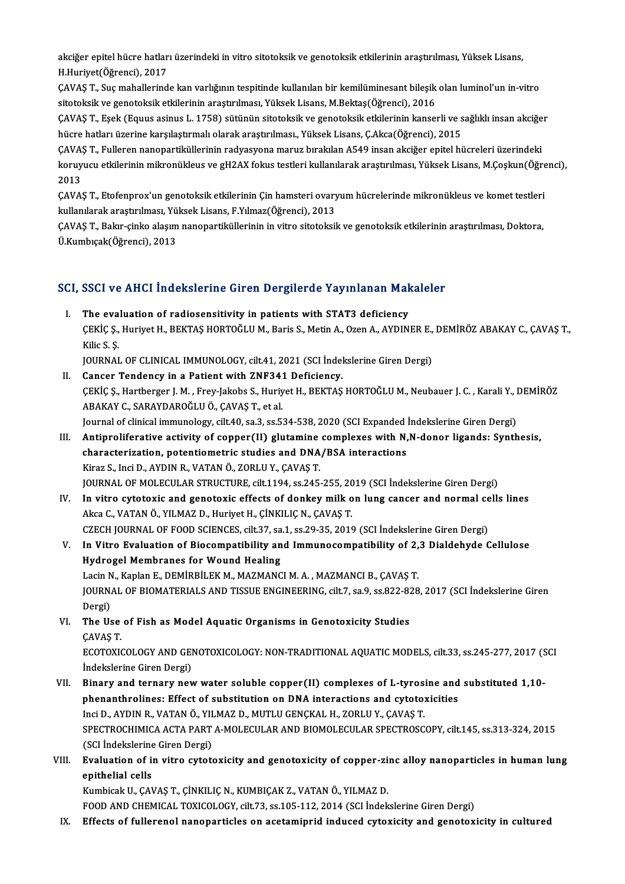akciğer epitel hücre hatları üzerindeki in vitro sitotoksik ve genotoksik etkilerinin araştırılması, Yüksek Lisans,<br>H Hunivet(Öğrengi), 2017 akciğer epitel hücre hatlar<br>H.Huriyet(Öğrenci), 2017<br>CAVAS T. Sus mahallarind akciğer epitel hücre hatları üzerindeki in vitro sitotoksik ve genotoksik etkilerinin araştırılması, Yüksek Lisans,<br>H.Huriyet(Öğrenci), 2017<br>ÇAVAŞ T., Suç mahallerinde kan varlığının tespitinde kullanılan bir kemilüminesan

H.Huriyet(Öğrenci), 2017<br>ÇAVAŞ T., Suç mahallerinde kan varlığının tespitinde kullanılan bir kemilüminesant bileşik olan luminol'un in-vitro<br>sitotoksik ve genotoksik etkilerinin araştırılması, Yüksek Lisans, M.Bektaş(Öğren ÇAVAŞ T., Suç mahallerinde kan varlığının tespitinde kullanılan bir kemilüminesant bileşik olan luminol'un in-vitro<br>sitotoksik ve genotoksik etkilerinin araştırılması, Yüksek Lisans, M.Bektaş(Öğrenci), 2016<br>ÇAVAŞ T., Eşek

sitotoksik ve genotoksik etkilerinin araştırılması, Yüksek Lisans, M.Bektaş(Öğrenci), 2016<br>ÇAVAŞ T., Eşek (Equus asinus L. 1758) sütünün sitotoksik ve genotoksik etkilerinin kanserli ve s<br>hücre hatları üzerine karşılaştırm ÇAVAŞ T., Eşek (Equus asinus L. 1758) sütünün sitotoksik ve genotoksik etkilerinin kanserli ve sağlıklı insan akciğe<br>hücre hatları üzerine karşılaştırmalı olarak araştırılması., Yüksek Lisans, Ç.Akca(Öğrenci), 2015<br>ÇAVAŞ T

hücre hatları üzerine karşılaştırmalı olarak araştırılması., Yüksek Lisans, Ç.Akca(Öğrenci), 2015<br>ÇAVAŞ T., Fulleren nanopartiküllerinin radyasyona maruz bırakılan A549 insan akciğer epitel hücreleri üzerindeki<br>koruyucu et CAVA:<br>koruy<br>2013<br>CAVA: koruyucu etkilerinin mikronükleus ve gH2AX fokus testleri kullanılarak araştırılması, Yüksek Lisans, M.Çoşkun(Öğre<br>2013<br>ÇAVAŞ T., Etofenprox'un genotoksik etkilerinin Çin hamsteri ovaryum hücrelerinde mikronükleus ve komet

2013<br>ÇAVAŞ T., Etofenprox'un genotoksik etkilerinin Çin hamsteri ovary<br>kullanılarak araştırılması, Yüksek Lisans, F.Yılmaz(Öğrenci), 2013<br>CAVAS T. Belar sinke alasım nanonartiküllerinin in vitre sitateksil ÇAVAŞ T., Etofenprox'un genotoksik etkilerinin Çin hamsteri ovaryum hücrelerinde mikronükleus ve komet testleri<br>kullanılarak araştırılması, Yüksek Lisans, F.Yılmaz(Öğrenci), 2013<br>ÇAVAŞ T., Bakır-çinko alaşım nanopartikülle

kullanılarak araştırılması, Yüksek Lisans, F.Yılmaz(Öğrenci), 2013<br>ÇAVAŞ T., Bakır-çinko alaşım nanopartiküllerinin in vitro sitotoksik ve genotoksik etkilerinin araştırılması, Doktora,<br>Ü.Kumbıçak(Öğrenci), 2013

# u.kumbıçak(ogrencı), 2013<br>SCI, SSCI ve AHCI İndekslerine Giren Dergilerde Yayınlanan Makaleler

CI, SSCI ve AHCI İndekslerine Giren Dergilerde Yayınlanan Mak<br>I. The evaluation of radiosensitivity in patients with STAT3 deficiency<br>CEVICS Hurivet H. BEVTAS HOPTOČLUM Paris S. Metin A. Ozen A. AVDINI ÇEKİÇ Ş., Huriyet H., BEKTAŞ HORTOĞLU M., Baris S., Metin A., Ozen A., AYDINER E., DEMİRÖZ ABAKAY C., ÇAVAŞ T.,<br>Kilic S. S. I. The evaluation of radiosensitivity in patients with STAT3 deficiency ÇEKİÇ Ş., Huriyet H., BEKTAŞ HORTOĞLU M., Baris S., Metin A., Ozen A., AYDINER E.,<br>Kilic S. Ş.<br>JOURNAL OF CLINICAL IMMUNOLOGY, cilt.41, 2021 (SCI İndekslerine Giren Dergi)<br>Canger Tondangy in a Bationt with ZNE341 Deficiong Kilic S. \$.<br>JOURNAL OF CLINICAL IMMUNOLOGY, cilt.41, 2021 (SCI Indel<br>II. Cancer Tendency in a Patient with ZNF341 Deficiency.<br>CEVIC S. Hartherger J. M. Eroy Jakaba S. Huriyot H. PEVTAS

- JOURNAL OF CLINICAL IMMUNOLOGY, cilt.41, 2021 (SCI İndekslerine Giren Dergi)<br>Cancer Tendency in a Patient with ZNF341 Deficiency.<br>ÇEKİÇ Ş., Hartberger J. M. , Frey-Jakobs S., Huriyet H., BEKTAŞ HORTOĞLU M., Neubauer J. C. Cancer Tendency in a Patient with ZNF34:<br>ÇEKİÇ Ş., Hartberger J. M. , Frey-Jakobs S., Huriy<br>ABAKAY C., SARAYDAROĞLU Ö., ÇAVAŞ T., et al.<br>Journal of clinical immunology, cilt 40, co 3, cc 5; ÇEKİÇ Ş., Hartberger J. M. , Frey-Jakobs S., Huriyet H., BEKTAŞ HORTOĞLU M., Neubauer J. C. , Karali Y., I<br>ABAKAY C., SARAYDAROĞLU Ö., ÇAVAŞ T., et al.<br>Journal of clinical immunology, cilt.40, sa.3, ss.534-538, 2020 (SCI E ABAKAY C., SARAYDAROĞLU Ö., ÇAVAŞ T., et al.<br>Journal of clinical immunology, cilt.40, sa.3, ss.534-538, 2020 (SCI Expanded Indekslerine Giren Dergi)<br>III. Antiproliferative activity of copper(II) glutamine complexes with N,
- Journal of clinical immunology, cilt.40, sa.3, ss.534-538, 2020 (SCI Expanded )<br>Antiproliferative activity of copper(II) glutamine complexes with N,<br>characterization, potentiometric studies and DNA/BSA interactions<br><sup>Virog</sup> Antiproliferative activity of copper(II) glutamine<br>characterization, potentiometric studies and DNA<br>Kiraz S., Inci D., AYDIN R., VATAN Ö., ZORLU Y., ÇAVAŞ T.<br>JOUPMAL OF MOLECULAR STRUCTURE silt 1194, se 245 characterization, potentiometric studies and DNA/BSA interactions<br>Kiraz S., Inci D., AYDIN R., VATAN Ö., ZORLU Y., ÇAVAŞ T.<br>JOURNAL OF MOLECULAR STRUCTURE, cilt.1194, ss.245-255, 2019 (SCI İndekslerine Giren Dergi) Kiraz S., Inci D., AYDIN R., VATAN Ö., ZORLU Y., ÇAVAŞ T.<br>JOURNAL OF MOLECULAR STRUCTURE, cilt.1194, ss.245-255, 2019 (SCI İndekslerine Giren Dergi)<br>IV. In vitro cytotoxic and genotoxic effects of donkey milk on lung cance
- JOURNAL OF MOLECULAR STRUCTURE, cilt.1194, ss.245-255, 20<br>In vitro cytotoxic and genotoxic effects of donkey milk o<br>Akca C., VATAN Ö., YILMAZ D., Huriyet H., ÇİNKILIÇ N., ÇAVAŞ T.<br>CZECH JOURNAL OF EOOD SCIENCES silt 27, 29 In vitro cytotoxic and genotoxic effects of donkey milk on lung cancer and normal ce<br>Akca C., VATAN Ö., YILMAZ D., Huriyet H., ÇİNKILIÇ N., ÇAVAŞ T.<br>CZECH JOURNAL OF FOOD SCIENCES, cilt.37, sa.1, ss.29-35, 2019 (SCI İndeks
- Akca C., VATAN Ö., YILMAZ D., Huriyet H., ÇİNKILIÇ N., ÇAVAŞ T.<br>CZECH JOURNAL OF FOOD SCIENCES, cilt.37, sa.1, ss.29-35, 2019 (SCI İndekslerine Giren Dergi)<br>V. In Vitro Evaluation of Biocompatibility and Immunocompatibilit CZECH JOURNAL OF FOOD SCIENCES, cilt.37, sa<br>In Vitro Evaluation of Biocompatibility an<br>Hydrogel Membranes for Wound Healing<br>Lasin N. Kaplan E. DEMIPPU EK M. MAZMANG In Vitro Evaluation of Biocompatibility and Immunocompatibility of 2,<br>Hydrogel Membranes for Wound Healing<br>Lacin N., Kaplan E., DEMİRBİLEK M., MAZMANCI M. A. , MAZMANCI B., ÇAVAŞ T.<br>JOUPMAL OF PJOMATERIALS AND TISSUE ENCIN Hydrogel Membranes for Wound Healing<br>Lacin N., Kaplan E., DEMİRBİLEK M., MAZMANCI M. A. , MAZMANCI B., ÇAVAŞ T.<br>JOURNAL OF BIOMATERIALS AND TISSUE ENGINEERING, cilt.7, sa.9, ss.822-828, 2017 (SCI İndekslerine Giren<br>Dergi) Lacin N<br>JOURN<br>Dergi)<br>The He JOURNAL OF BIOMATERIALS AND TISSUE ENGINEERING, cilt.7, sa.9, ss.822-82<br>Dergi)<br>VI. The Use of Fish as Model Aquatic Organisms in Genotoxicity Studies<br>CAVAS T
- Dergi)<br>VI. The Use of Fish as Model Aquatic Organisms in Genotoxicity Studies<br>CAVAS T. The Use of Fish as Model Aquatic Organisms in Genotoxicity Studies<br>ÇAVAŞ T.<br>ECOTOXICOLOGY AND GENOTOXICOLOGY: NON-TRADITIONAL AQUATIC MODELS, cilt.33, ss.245-277, 2017 (SCI<br>İndekslerine Ciren Dergi) CAVAŞ T.<br>ECOTOXICOLOGY AND GEI<br>İndekslerine Giren Dergi)<br>Pinary and tarnary nav
- ECOTOXICOLOGY AND GENOTOXICOLOGY: NON-TRADITIONAL AQUATIC MODELS, cilt.33, ss.245-277, 2017 (S<br>indekslerine Giren Dergi)<br>VII. Binary and ternary new water soluble copper(II) complexes of L-tyrosine and substituted 1,10-<br>ph indekslerine Giren Dergi)<br>Binary and ternary new water soluble copper(II) complexes of L-tyrosine and<br>phenanthrolines: Effect of substitution on DNA interactions and cytotoxicities<br>Ingi D. AYDIN R. VATAN Ö. VU MAZ D. MUTU Binary and ternary new water soluble copper(II) complexes of L-tyros:<br>phenanthrolines: Effect of substitution on DNA interactions and cytoto:<br>Inci D., AYDIN R., VATAN Ö., YILMAZ D., MUTLU GENÇKAL H., ZORLU Y., ÇAVAŞ T.<br>SPE phenanthrolines: Effect of substitution on DNA interactions and cytotoxicities<br>Inci D., AYDIN R., VATAN Ö., YILMAZ D., MUTLU GENÇKAL H., ZORLU Y., ÇAVAŞ T.<br>SPECTROCHIMICA ACTA PART A-MOLECULAR AND BIOMOLECULAR SPECTROSCOPY Inci D., AYDIN R., VATAN Ö., YII<br>SPECTROCHIMICA ACTA PART<br>(SCI İndekslerine Giren Dergi)<br>Evaluation of in uitre evtett SPECTROCHIMICA ACTA PART A-MOLECULAR AND BIOMOLECULAR SPECTROSCOPY, cilt.145, ss.313-324, 2015<br>(SCI İndekslerine Giren Dergi)<br>VIII. Evaluation of in vitro cytotoxicity and genotoxicity of copper-zinc alloy nanoparticles in
- (SCI Indekslerine Giren Dergi)<br>Evaluation of in vitro cytotoxicity and genotoxicity of copper-zinc alloy nanoparticles in human lung<br>epithelial cells

Kumbicak U., ÇAVAŞ T., ÇİNKILIÇ N., KUMBIÇAK Z., VATAN Ö., YILMAZ D. FOOD AND CHEMICAL TOXICOLOGY, cilt.73, ss.105-112, 2014 (SCI İndekslerine Giren Dergi)

IX. Effects of fullerenol nanoparticles on acetamiprid induced cytoxicity and genotoxicity in cultured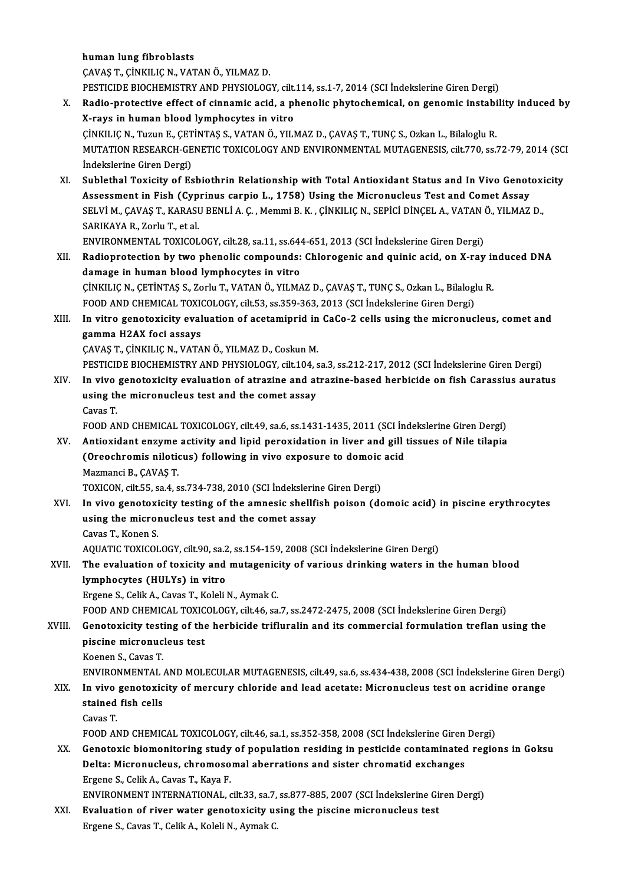human lung fibroblasts

ÇAVAŞT.,ÇİNKILIÇN.,VATANÖ.,YILMAZD.

PESTICIDE BIOCHEMISTRY AND PHYSIOLOGY, cilt.114, ss.1-7, 2014 (SCI İndekslerine Giren Dergi)

- CAVAŞ T., ÇİNKILIÇ N., VATAN Ö., YILMAZ D.<br>PESTICIDE BIOCHEMISTRY AND PHYSIOLOGY, cilt.114, ss.1-7, 2014 (SCI İndekslerine Giren Dergi)<br>X. Radio-protective effect of cinnamic acid, a phenolic phytochemical, on genomic inst PESTICIDE BIOCHEMISTRY AND PHYSIOLOGY, cilt.<br>Radio-protective effect of cinnamic acid, a pl<br>X-rays in human blood lymphocytes in vitro<br>Cinku IC N. Tuzur E. CETINTAS S. VATAN Ö. VILL Radio-protective effect of cinnamic acid, a phenolic phytochemical, on genomic instabi<br>X-rays in human blood lymphocytes in vitro<br>ÇİNKILIÇ N., Tuzun E., ÇETİNTAŞ S., VATAN Ö., YILMAZ D., ÇAVAŞ T., TUNÇ S., Ozkan L., Bilalo X-rays in human blood lymphocytes in vitro<br>ÇİNKILIÇ N., Tuzun E., ÇETİNTAŞ S., VATAN Ö., YILMAZ D., ÇAVAŞ T., TUNÇ S., Ozkan L., Bilaloglu R.<br>MUTATION RESEARCH-GENETIC TOXICOLOGY AND ENVIRONMENTAL MUTAGENESIS, cilt.770, ss ÇİNKILIÇ N., Tuzun E., ÇET<br>MUTATION RESEARCH-GE<br>İndekslerine Giren Dergi)<br>Suhlethal Tovisity of Es MUTATION RESEARCH-GENETIC TOXICOLOGY AND ENVIRONMENTAL MUTAGENESIS, cilt.770, ss.72-79, 2014 (SC.<br>
Indekslerine Giren Dergi)<br>
XI. Sublethal Toxicity of Esbiothrin Relationship with Total Antioxidant Status and In Vivo Geno
- İndekslerine Giren Dergi)<br>Sublethal Toxicity of Esbiothrin Relationship with Total Antioxidant Status and In Vivo Genot<br>Assessment in Fish (Cyprinus carpio L., 1758) Using the Micronucleus Test and Comet Assay<br>SELVUM CAVAS Sublethal Toxicity of Esbiothrin Relationship with Total Antioxidant Status and In Vivo Genotoxi<br>Assessment in Fish (Cyprinus carpio L., 1758) Using the Micronucleus Test and Comet Assay<br>SELVİ M., ÇAVAŞ T., KARASU BENLİ A. Assessment in Fish (Cyprinus carpio L., 1758) Using the Micronucleus Test and Comet Assay<br>SELVI M., ÇAVAŞ T., KARASU BENLI A. Ç. , Memmi B. K. , ÇINKILIÇ N., SEPİCI DİNÇEL A., VATAN Ö., YILMAZ<br>SARIKAYA R., Zorlu T., et al. SELVİM., ÇAVAŞ T., KARASU BENLİA. Ç., Memmi B. K., ÇİNKILIÇ N., SEPİCİ DİNÇEL A., VATAN Ö., YILMAZ D.,

SARIKAYA R., Zorlu T., et al.<br>ENVIRONMENTAL TOXICOLOGY, cilt.28, sa.11, ss.644-651, 2013 (SCI İndekslerine Giren Dergi)<br>XII. Radioprotection by two phenolic compounds: Chlorogenic and quinic acid, on X-ray induced DNA<br> ENVIRONMENTAL TOXICOLOGY, cilt.28, sa.11, ss.644<br>Radioprotection by two phenolic compounds:<br>damage in human blood lymphocytes in vitro<br>Cinyu ICN, CETINTAS S. Zorb: T. VATAN Ö. VU MA Radioprotection by two phenolic compounds: Chlorogenic and quinic acid, on X-ray in<br>damage in human blood lymphocytes in vitro<br>ÇİNKILIÇ N., ÇETİNTAŞ S., Zorlu T., VATAN Ö., YILMAZ D., ÇAVAŞ T., TUNÇ S., Ozkan L., Bilaloglu

damage in human blood lymphocytes in vitro<br>ÇİNKILIÇ N., ÇETİNTAŞ S., Zorlu T., VATAN Ö., YILMAZ D., ÇAVAŞ T., TUNÇ S., Ozkan L., Bilaloglu R.<br>FOOD AND CHEMICAL TOXICOLOGY, cilt.53, ss.359-363, 2013 (SCI İndekslerine Giren CINKILIC N., CETINTAS S., Zorlu T., VATAN Ö., YILMAZ D., CAVAS T., TUNC S., Ozkan L., Bilaloglu R.<br>FOOD AND CHEMICAL TOXICOLOGY, cilt.53, ss.359-363, 2013 (SCI Indekslerine Giren Dergi)<br>XIII. In vitro genotoxicity evaluati

FOOD AND CHEMICAL TOXION<br>In vitro genotoxicity eval<br>gamma H2AX foci assays<br>CAVAS T. C<sup>INVIU</sup> IS N. VATA In vitro genotoxicity evaluation of acetamiprid in<br>gamma H2AX foci assays<br>ÇAVAŞ T.,ÇİNKILIÇ N., VATAN Ö., YILMAZ D., Coskun M.<br>PESTICIDE PIOCUEMISTRY AND PUVSIOLOCY silt 104 s gamma H2AX foci assays<br>ÇAVAŞ T., ÇİNKILIÇ N., VATAN Ö., YILMAZ D., Coskun M.<br>PESTICIDE BIOCHEMISTRY AND PHYSIOLOGY, cilt.104, sa.3, ss.212-217, 2012 (SCI İndekslerine Giren Dergi)

XIV. In vivo genotoxicity evaluation of atrazine and atrazine-based herbicide on fish Carassius auratus PESTICIDE BIOCHEMISTRY AND PHYSIOLOGY, cilt.104, s<br>In vivo genotoxicity evaluation of atrazine and at<br>using the micronucleus test and the comet assay<br>Caves T In vivo<br>using th<br>Cavas T.<br>EOOD A! Cavas T.<br>FOOD AND CHEMICAL TOXICOLOGY, cilt.49, sa.6, ss.1431-1435, 2011 (SCI İndekslerine Giren Dergi)

XV. Antioxidant enzyme activity and lipid peroxidation in liver and gil tissues of Nile tilapia FOOD AND CHEMICAL TOXICOLOGY, cilt.49, sa.6, ss.1431-1435, 2011 (SCI İn<br>Antioxidant enzyme activity and lipid peroxidation in liver and gill<br>(Oreochromis niloticus) following in vivo exposure to domoic acid<br>Megmensi P. CAV Antioxidant enzyme<br>(Oreochromis nilotion)<br>Mazmanci B., ÇAVAŞ T.<br>TOVICON silt EE se 4 s (Oreochromis niloticus) following in vivo exposure to domoic<br>Mazmanci B., ÇAVAŞ T.<br>TOXICON, cilt.55, sa.4, ss.734-738, 2010 (SCI İndekslerine Giren Dergi)<br>In vivo genetevisity testing of the emnesis shellfish neisen (de

Mazmanci B., ÇAVAŞ T.<br>TOXICON, cilt.55, sa.4, ss.734-738, 2010 (SCI İndekslerine Giren Dergi)<br>XVI. In vivo genotoxicity testing of the amnesic shellfish poison (domoic acid) in piscine erythrocytes<br>weing the migronyclous t TOXICON, cilt.55, sa.4, ss.734-738, 2010 (SCI Indekslerine Giren Dergi)<br>In vivo genotoxicity testing of the amnesic shellfish poison (du<br>sing the micronucleus test and the comet assay<br>Cavas T. Konen S. In vivo genotoxi<br>using the microl<br>Cavas T., Konen S.<br>AOUATIC TOVICOL using the micronucleus test and the comet assay<br>Cavas T., Konen S.<br>AQUATIC TOXICOLOGY, cilt.90, sa.2, ss.154-159, 2008 (SCI İndekslerine Giren Dergi)<br>The evaluation of tovisity and mutagonisity of vanious drinking vators i

## Cavas T., Konen S.<br>AQUATIC TOXICOLOGY, cilt.90, sa.2, ss.154-159, 2008 (SCI İndekslerine Giren Dergi)<br>XVII. The evaluation of toxicity and mutagenicity of various drinking waters in the human blood<br>Iumphosutes (HIII Ye) in AQUATIC TOXICOLOGY, cilt.90, sa.2<br>The evaluation of toxicity and<br>lymphocytes (HULYs) in vitro<br>Ergane S. Collis A. Couse T. Kololi The evaluation of toxicity and mutagenic:<br>lymphocytes (HULYs) in vitro<br>Ergene S., Celik A., Cavas T., Koleli N., Aymak C.<br>FOOD AND CHEMICAL TOYICOLOCY silt 46 sp l**ymphocytes (HULYs) in vitro**<br>Ergene S., Celik A., Cavas T., Koleli N., Aymak C.<br>FOOD AND CHEMICAL TOXICOLOGY, cilt.46, sa.7, ss.2472-2475, 2008 (SCI İndekslerine Giren Dergi)

# Ergene S., Celik A., Cavas T., Koleli N., Aymak C.<br>FOOD AND CHEMICAL TOXICOLOGY, cilt46, sa.7, ss.2472-2475, 2008 (SCI İndekslerine Giren Dergi)<br>XVIII. Genotoxicity testing of the herbicide trifluralin and its commercial f FOOD AND CHEMICAL TOXIC<br>Genotoxicity testing of the<br>piscine micronucleus test<br>Keepen S. Cayes T **Genotoxicity test:<br>piscine micronuc<br>Koenen S., Cavas T.<br>ENVIBONMENTAL** piscine micronucleus test<br>Koenen S., Cavas T.<br>ENVIRONMENTAL AND MOLECULAR MUTAGENESIS, cilt.49, sa.6, ss.434-438, 2008 (SCI İndekslerine Giren Dergi)<br>In vive geneterisity of mersury shloride and lead asetete: Misronusleus

Koenen S., Cavas T.<br>ENVIRONMENTAL AND MOLECULAR MUTAGENESIS, cilt.49, sa.6, ss.434-438, 2008 (SCI İndekslerine Giren De<br>XIX. In vivo genotoxicity of mercury chloride and lead acetate: Micronucleus test on acridine oran ENVIRONMENTAL<br>In vivo genotoxic<br>stained fish cells<br>Cavas T I<mark>n vivo</mark><br>stained<br>Cavas T.<br>EOOD A! stained fish cells<br>Cavas T.<br>FOOD AND CHEMICAL TOXICOLOGY, cilt.46, sa.1, ss.352-358, 2008 (SCI İndekslerine Giren Dergi)<br>Constavis biamenitering study of nopulation residing in nesticide senteminated regio

## Cavas T.<br>FOOD AND CHEMICAL TOXICOLOGY, cilt.46, sa.1, ss.352-358, 2008 (SCI Indekslerine Giren Dergi)<br>XX. Genotoxic biomonitoring study of population residing in pesticide contaminated regions in Goksu<br>Delte: Misropueleus, FOOD AND CHEMICAL TOXICOLOGY, cilt.46, sa.1, ss.352-358, 2008 (SCI İndekslerine Giren<br>Genotoxic biomonitoring study of population residing in pesticide contaminated<br>Delta: Micronucleus, chromosomal aberrations and sister c Genotoxic biomonitoring study<br>Delta: Micronucleus, chromoso<br>Ergene S., Celik A., Cavas T., Kaya F.<br>ENWRONMENT INTERNATIONAL Delta: Micronucleus, chromosomal aberrations and sister chromatid exchanges<br>Ergene S., Celik A., Cavas T., Kaya F.<br>ENVIRONMENT INTERNATIONAL, cilt.33, sa.7, ss.877-885, 2007 (SCI İndekslerine Giren Dergi)

Ergene S., Celik A., Cavas T., Kaya F.<br>ENVIRONMENT INTERNATIONAL, cilt.33, sa.7, ss.877-885, 2007 (SCI Indekslerine Gir<br>XXI. Evaluation of river water genotoxicity using the piscine micronucleus test ENVIRONMENT INTERNATIONAL, cilt.33, sa.7,<br><mark>Evaluation of river water genotoxicity u</mark>s<br>Ergene S., Cavas T., Celik A., Koleli N., Aymak C.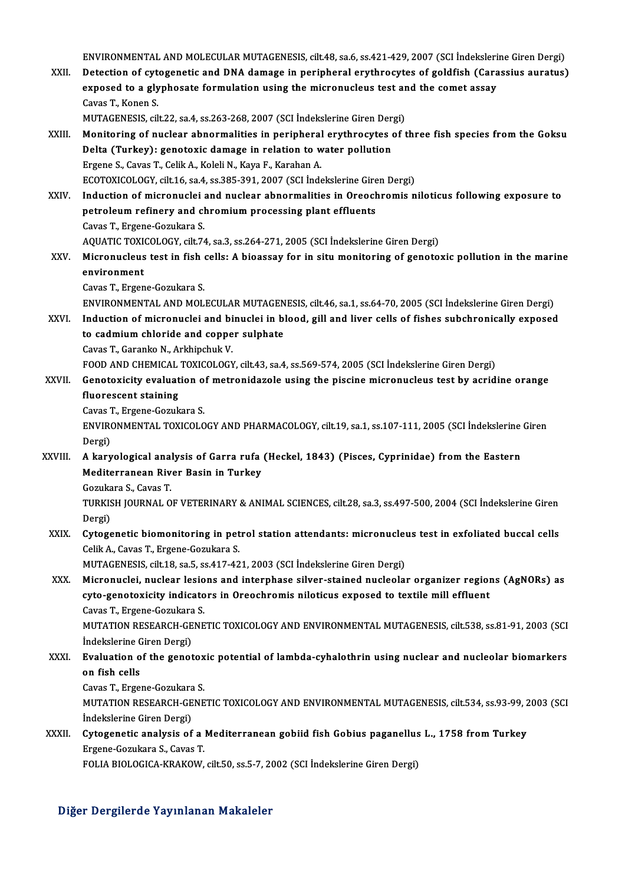ENVIRONMENTAL AND MOLECULAR MUTAGENESIS, cilt.48, sa.6, ss.421-429, 2007 (SCI İndekslerine Giren Dergi)<br>Detestion of autogenetis and DNA demage in neginberal exuthresutes of soldfich (Cenessius eurotus) ENVIRONMENTAL AND MOLECULAR MUTAGENESIS, cilt.48, sa.6, ss.421-429, 2007 (SCI İndekslerine Giren Dergi)<br>XXII. Detection of cytogenetic and DNA damage in peripheral erythrocytes of goldfish (Carassius auratus) ENVIRONMENTAL AND MOLECULAR MUTAGENESIS, cilt.48, sa.6, ss.421-429, 2007 (SCI İndeksleri<br>Detection of cytogenetic and DNA damage in peripheral erythrocytes of goldfish (Cara<br>exposed to a glyphosate formulation using the mi Detection of cyt<br>exposed to a gly<br>Cavas T., Konen S.<br>MUTACENESIS cil exposed to a glyphosate formulation using the micronucleus test ar<br>Cavas T., Konen S.<br>MUTAGENESIS, cilt.22, sa.4, ss.263-268, 2007 (SCI İndekslerine Giren Dergi)<br>Monitoring of nuclear abnormalities in norinberal eruthrosut Cavas T., Konen S.<br>MUTAGENESIS, cilt.22, sa.4, ss.263-268, 2007 (SCI Indekslerine Giren Dergi)<br>XXIII. Monitoring of nuclear abnormalities in peripheral erythrocytes of three fish species from the Goksu MUTAGENESIS, cilt.22, sa.4, ss.263-268, 2007 (SCI Indekslerine Giren Dergi)<br>Monitoring of nuclear abnormalities in peripheral erythrocytes of t<br>Delta (Turkey): genotoxic damage in relation to water pollution<br>Ergene S., Cav Delta (Turkey): genotoxic damage in relation to water pollution ECOTOXICOLOGY, cilt.16, sa.4, ss.385-391, 2007 (SCI İndekslerine Giren Dergi) XXIV. Induction of micronuclei and nuclear abnormalities in Oreochromis niloticus following exposure to ECOTOXICOLOGY, cilt.16, sa.4, ss.385-391, 2007 (SCI İndekslerine Gire<br>Induction of micronuclei and nuclear abnormalities in Oreoch<br>petroleum refinery and chromium processing plant effluents<br>Cause T. Ersane Casultare S Induction of micronuclei<br>petroleum refinery and cl<br>Cavas T., Ergene-Gozukara S.<br>AOUATIC TOVICOLOCY silt 7 Cavas T., Ergene-Gozukara S.<br>AQUATIC TOXICOLOGY, cilt.74, sa.3, ss.264-271, 2005 (SCI İndekslerine Giren Dergi) Cavas T., Ergene-Gozukara S.<br>AQUATIC TOXICOLOGY, cilt.74, sa.3, ss.264-271, 2005 (SCI İndekslerine Giren Dergi)<br>XXV. Micronucleus test in fish cells: A bioassay for in situ monitoring of genotoxic pollution in the marine<br>o AQUATIC TOXI<mark>)</mark><br>Micronucleus<br>environment<br>Caves T. Ensen environment<br>Cavas T., Ergene-Gozukara S. environment<br>Cavas T., Ergene-Gozukara S.<br>ENVIRONMENTAL AND MOLECULAR MUTAGENESIS, cilt.46, sa.1, ss.64-70, 2005 (SCI İndekslerine Giren Dergi)<br>Industion of misronualei and binualei in blood, gill and liver gelle of fishes Cavas T., Ergene-Gozukara S.<br>ENVIRONMENTAL AND MOLECULAR MUTAGENESIS, cilt.46, sa.1, ss.64-70, 2005 (SCI İndekslerine Giren Dergi)<br>XXVI. Induction of micronuclei and binuclei in blood, gill and liver cells of fishes subchr ENVIRONMENTAL AND MOLECULAR MUTAGEN<br>Induction of micronuclei and binuclei in b<br>to cadmium chloride and copper sulphate<br>Cause T. Causake N. Arkhinghul: V. Induction of micronuclei and binuclei in blood, gill and liver cells of fishes subchronically exposed to cadmium chloride and copper sulphate<br>Cavas T., Garanko N., Arkhipchuk V. FOOD AND CHEMICAL TOXICOLOGY, cilt.43, sa.4, ss.569-574, 2005 (SCI İndekslerine Giren Dergi) XXVII. Genotoxicity evaluation of metronidazole using the piscine micronucleus test by acridine orange fluorescent staining CavasT.,Ergene-Gozukara S. fluorescent staining<br>Cavas T., Ergene-Gozukara S.<br>ENVIRONMENTAL TOXICOLOGY AND PHARMACOLOGY, cilt.19, sa.1, ss.107-111, 2005 (SCI İndekslerine Giren Cavas 1<br>ENVIRO<br>Dergi) ENVIRONMENTAL TOXICOLOGY AND PHARMACOLOGY, cilt.19, sa.1, ss.107-111, 2005 (SCI İndekslerine<br>Dergi)<br>XXVIII. A karyological analysis of Garra rufa (Heckel, 1843) (Pisces, Cyprinidae) from the Eastern<br>Meditaryonoon Biyer Bas Dergi)<br>A karyological analysis of Garra rufa<br>Mediterranean River Basin in Turkey<br>Comikana S. Cavas T A karyological ana<br>Mediterranean Riv<br>Gozukara S., Cavas T.<br>TURKISH JOURNAL O Mediterranean River Basin in Turkey<br>Gozukara S., Cavas T.<br>TURKISH JOURNAL OF VETERINARY & ANIMAL SCIENCES, cilt.28, sa.3, ss.497-500, 2004 (SCI İndekslerine Giren<br>Dergi) Gozukara S., Cavas T. TURKISH JOURNAL OF VETERINARY & ANIMAL SCIENCES, cilt.28, sa.3, ss.497-500, 2004 (SCI İndekslerine Giren<br>Dergi)<br>XXIX. Cytogenetic biomonitoring in petrol station attendants: micronucleus test in exfoliated buccal cells<br>Cel Dergi)<br>Cytogenetic biomonitoring in pet<br>Celik A., Cavas T., Ergene-Gozukara S.<br>MUTACENESIS silt 19, 20 E. 32417, 42 Cytogenetic biomonitoring in petrol station attendants: micronucler<br>Celik A., Cavas T., Ergene-Gozukara S.<br>MUTAGENESIS, cilt.18, sa.5, ss.417-421, 2003 (SCI İndekslerine Giren Dergi)<br>Micronuclei, nuclear legions and intern Celik A., Cavas T., Ergene-Gozukara S.<br>MUTAGENESIS, cilt.18, sa.5, ss.417-421, 2003 (SCI Indekslerine Giren Dergi)<br>XXX. Micronuclei, nuclear lesions and interphase silver-stained nucleolar organizer regions (AgNORs) as<br>aut MUTAGENESIS, cilt.18, sa.5, ss.417-421, 2003 (SCI İndekslerine Giren Dergi)<br>Micronuclei, nuclear lesions and interphase silver-stained nucleolar organizer region<br>cyto-genotoxicity indicators in Oreochromis niloticus expose Micronuclei, nuclear lesio<br>cyto-genotoxicity indicato<br>Cavas T., Ergene-Gozukara S.<br>MUTATION BESEARCH CENE cyto-genotoxicity indicators in Oreochromis niloticus exposed to textile mill effluent<br>Cavas T., Ergene-Gozukara S.<br>MUTATION RESEARCH-GENETIC TOXICOLOGY AND ENVIRONMENTAL MUTAGENESIS, cilt.538, ss.81-91, 2003 (SCI<br>Indeksle Cavas T., Ergene-Gozukara<br>MUTATION RESEARCH-GE<br>İndekslerine Giren Dergi)<br>Evaluation of the genet MUTATION RESEARCH-GENETIC TOXICOLOGY AND ENVIRONMENTAL MUTAGENESIS, cilt.538, ss.81-91, 2003 (SCI<br>Indekslerine Giren Dergi)<br>XXXI. Evaluation of the genotoxic potential of lambda-cyhalothrin using nuclear and nucleolar biom Indekslerine C<br>Evaluation o<br>on fish cells<br>Caves T. Exac Evaluation of the genotox<br>on fish cells<br>Cavas T., Ergene-Gozukara S.<br>MUTATION BESEARCH CENE on fish cells<br>Cavas T., Ergene-Gozukara S.<br>MUTATION RESEARCH-GENETIC TOXICOLOGY AND ENVIRONMENTAL MUTAGENESIS, cilt.534, ss.93-99, 2003 (SCI<br>İndekslerine Giren Dergi) Cavas T., Ergene-Gozukara S. MUTATION RESEARCH-GENETIC TOXICOLOGY AND ENVIRONMENTAL MUTAGENESIS, cilt.534, ss.93-99, 2<br>Indekslerine Giren Dergi)<br>XXXII. Cytogenetic analysis of a Mediterranean gobiid fish Gobius paganellus L., 1758 from Turkey Indekslerine Giren Dergi)<br>Cytogenetic analysis of a l<br>Ergene-Gozukara S., Cavas T.<br>FOLLA PIOLOCICA *V*PA*V*OW. Cytogenetic analysis of a Mediterranean gobiid fish Gobius paganellus<br>Ergene-Gozukara S., Cavas T.<br>FOLIA BIOLOGICA-KRAKOW, cilt.50, ss.5-7, 2002 (SCI İndekslerine Giren Dergi) FOLIA BIOLOGICA-KRAKOW, cilt.50, ss.5-7, 2002 (SCI İndekslerine Giren Dergi)<br>Diğer Dergilerde Yayınlanan Makaleler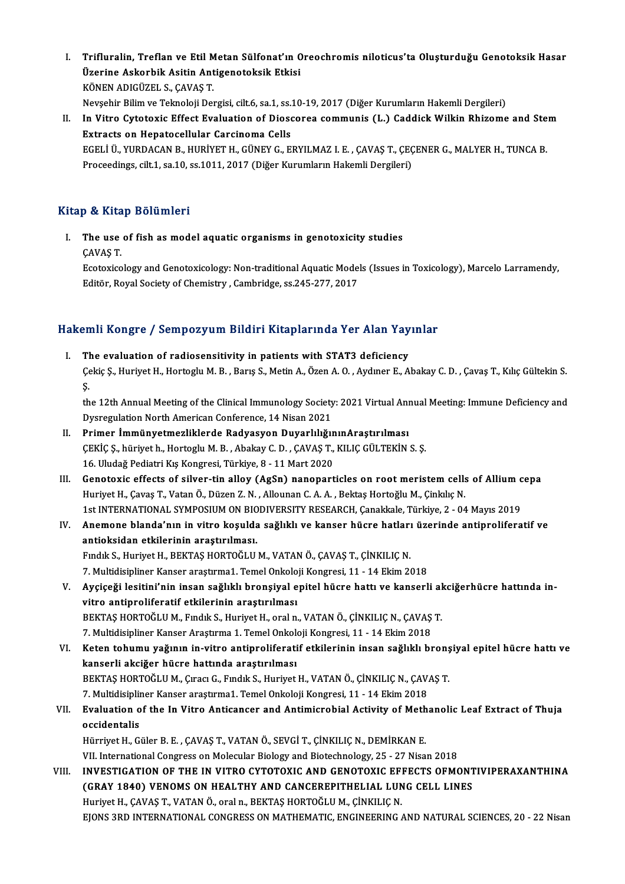- I. Trifluralin, Treflan ve Etil Metan Sülfonat'ın Oreochromis niloticus'ta Oluşturduğu Genotoksik Hasar<br>Ügenine Askapbik Asitin Antiseneteksik Etkisi Trifluralin, Treflan ve Etil Metan Sülfonat'ın (<br>Üzerine Askorbik Asitin Antigenotoksik Etkisi<br>KÖNEN ADIÇÜZEL S. CAVAS T Trifluralin, Treflan ve Etil M<br>Üzerine Askorbik Asitin Ant<br>KÖNEN ADIGÜZEL S.,ÇAVAŞ T.<br>Navçehir Bilim ve Talmaloji Dar Üzerine Askorbik Asitin Antigenotoksik Etkisi<br>KÖNEN ADIGÜZEL S., ÇAVAŞ T.<br>Nevşehir Bilim ve Teknoloji Dergisi, cilt.6, sa.1, ss.10-19, 2017 (Diğer Kurumların Hakemli Dergileri)<br>In Vitre Gytetevia Effect Evaluation of Diess
- KÖNEN ADIGÜZEL S., ÇAVAŞ T.<br>Nevşehir Bilim ve Teknoloji Dergisi, cilt.6, sa.1, ss.10-19, 2017 (Diğer Kurumların Hakemli Dergileri)<br>II. In Vitro Cytotoxic Effect Evaluation of Dioscorea communis (L.) Caddick Wilkin Rhizome Nevşehir Bilim ve Teknoloji Dergisi, cilt.6, sa.1, ss.:<br>In Vitro Cytotoxic Effect Evaluation of Dioso<br>Extracts on Hepatocellular Carcinoma Cells<br>ECELLÜ VURDACAN R. HURİVET H. CÜNEV C. E In Vitro Cytotoxic Effect Evaluation of Dioscorea communis (L.) Caddick Wilkin Rhizome and Ste<br>Extracts on Hepatocellular Carcinoma Cells<br>EGELİ Ü., YURDACAN B., HURİYET H., GÜNEY G., ERYILMAZ I. E. , ÇAVAŞ T., ÇEÇENER G., Extracts on Hepatocellular Carcinoma Cells<br>EGELİ Ü., YURDACAN B., HURİYET H., GÜNEY G., ERYILMAZ I. E. , ÇAVAŞ T., ÇEÇ<br>Proceedings, cilt.1, sa.10, ss.1011, 2017 (Diğer Kurumların Hakemli Dergileri) Proceedings, cilt.1, sa.10, ss.1011, 2017 (Diğer Kurumların Hakemli Dergileri)<br>Kitap & Kitap Bölümleri

itap & Kitap Bölümleri<br>I. The use of fish as model aquatic organisms in genotoxicity studies<br>CAVAS T The use<br>CAVAŞ T.<br>Featovise The use of fish as model aquatic organisms in genotoxicity studies<br>ÇAVAŞ T.<br>Ecotoxicology and Genotoxicology: Non-traditional Aquatic Models (Issues in Toxicology), Marcelo Larramendy,<br>Editër, Poval Society of Chamistry, C

ÇAVAŞ T.<br>Ecotoxicology and Genotoxicology: Non-traditional Aquatic Mode<br>Editör, Royal Society of Chemistry , Cambridge, ss.245-277, 2017

# editor, Koyal Society of Chemistry , Cambridge, ss.245-277, 2017<br>Hakemli Kongre / Sempozyum Bildiri Kitaplarında Yer Alan Yayınlar

akemli Kongre / Sempozyum Bildiri Kitaplarında Yer Alan Yay<br>I. The evaluation of radiosensitivity in patients with STAT3 deficiency<br>Colsie S. Huriyot H. Hortoglu M. B. Barie S. Motin A. Özen A. O. Ayduar E. A. I. The evaluation of radiosensitivity in patients with STAT3 deficiency<br>Çekiç Ş., Huriyet H., Hortoglu M. B. , Barış S., Metin A., Özen A. O. , Aydıner E., Abakay C. D. , Çavaş T., Kılıç Gültekin S.<br>S. TI<br>Çe<br>S. Çekiç Ş., Huriyet H., Hortoglu M. B. , Barış S., Metin A., Özen A. O. , Aydıner E., Abakay C. D. , Çavaş T., Kılıç Gültekin S.<br>Ş.<br>the 12th Annual Meeting of the Clinical Immunology Society: 2021 Virtual Annual Meeting: Imm

Ş.<br>the 12th Annual Meeting of the Clinical Immunology Society<br>Dysregulation North American Conference, 14 Nisan 2021<br>Primer İmmünyetmerliklerde Bedyseyen Duvarlılığı the 12th Annual Meeting of the Clinical Immunology Society: 2021 Virtual Ann<br>Dysregulation North American Conference, 14 Nisan 2021<br>II. Primer İmmünyetmezliklerde Radyasyon DuyarlılığınınAraştırılması<br>CEVİC S. bürüyet b. H

- Dysregulation North American Conference, 14 Nisan 2021<br>II. Primer İmmünyetmezliklerde Radyasyon DuyarlılığınınAraştırılması<br>ÇEKİÇ Ş., hüriyet h., Hortoglu M. B. , Abakay C. D. , ÇAVAŞ T., KILIÇ GÜLTEKİN S. Ş. 16. Uludağ Pediatri Kış Kongresi, Türkiye, 8 - 11 Mart 2020 CEKİÇ Ş., hüriyet h., Hortoglu M. B. , Abakay C. D. , CAVAŞ T., KILIÇ GÜLTEKİN S. Ş.<br>16. Uludağ Pediatri Kış Kongresi, Türkiye, 8 - 11 Mart 2020<br>III. Genotoxic effects of silver-tin alloy (AgSn) nanoparticles on root meris
- 16. Uludağ Pediatri Kış Kongresi, Türkiye, 8 11 Mart 2020<br>Genotoxic effects of silver-tin alloy (AgSn) nanoparticles on root meristem cells<br>Huriyet H., Çavaş T., Vatan Ö., Düzen Z. N. , Allounan C. A. A. , Bektaş Hortoğl Genotoxic effects of silver-tin alloy (AgSn) nanoparticles on root meristem cells of Allium c<br>Huriyet H., Çavaş T., Vatan Ö., Düzen Z. N. , Allounan C. A. A. , Bektaş Hortoğlu M., Çinkilıç N.<br>1st INTERNATIONAL SYMPOSIUM ON 1st INTERNATIONAL SYMPOSIUM ON BIODIVERSITY RESEARCH, Çanakkale, Türkiye, 2 - 04 Mayıs 2019
- Huriyet H., Çavaş T., Vatan Ö., Düzen Z. N. , Allounan C. A. A. , Bektaş Hortoğlu M., Çinkılıç N.<br>1st INTERNATIONAL SYMPOSIUM ON BIODIVERSITY RESEARCH, Çanakkale, Türkiye, 2 04 Mayıs 2019<br>IV. Anemone blanda'nın in vi Anemone blanda'nın in vitro koşulda sağlıklı ve kanser hücre hatları<br>antioksidan etkilerinin araştırılması.<br>Fındık S., Huriyet H., BEKTAŞ HORTOĞLU M., VATAN Ö., ÇAVAŞ T., ÇİNKILIÇ N.<br>7. Multidiginlinen Kansen arastırma1, T antioksidan etkilerinin araştırılması.<br>Fındık S., Huriyet H., BEKTAŞ HORTOĞLU M., VATAN Ö., ÇAVAŞ T., ÇİNKILIÇ N.<br>7. Multidisipliner Kanser araştırma1. Temel Onkoloji Kongresi, 11 - 14 Ekim 2018<br>Avgiseği leşitini'nin insan

Fındık S., Huriyet H., BEKTAŞ HORTOĞLU M., VATAN Ö., ÇAVAŞ T., ÇİNKILIÇ N.<br>7. Multidisipliner Kanser araştırma1. Temel Onkoloji Kongresi, 11 - 14 Ekim 2018<br>1. Ayçiçeği lesitini'nin insan sağlıklı bronşiyal epitel hücre hat 7. Multidisipliner Kanser araştırma1. Temel Onkolo<br>Ayçiçeği lesitini'nin insan sağlıklı bronşiyal e<br>vitro antiproliferatif etkilerinin araştırılması<br>PEKTAS HOPTOČLUM, Endik S. Huriyat H. eral n Ayçiçeği lesitini'nin insan sağlıklı bronşiyal epitel hücre hattı ve kanserli al<br>vitro antiproliferatif etkilerinin araştırılması<br>BEKTAŞ HORTOĞLU M., Fındık S., Huriyet H., oral n., VATAN Ö., ÇİNKILIÇ N., ÇAVAŞ T.<br>7. Multi vitro antiproliferatif etkilerinin araştırılması<br>BEKTAŞ HORTOĞLU M., Fındık S., Huriyet H., oral n., VATAN Ö., ÇİNKILIÇ N., ÇAVAŞ T.<br>7. Multidisipliner Kanser Araştırma 1. Temel Onkoloji Kongresi, 11 - 14 Ekim 2018

BEKTAŞ HORTOĞLU M., Fındık S., Huriyet H., oral n., VATAN Ö., ÇİNKILIÇ N., ÇAVAŞ T.<br>7. Multidisipliner Kanser Araştırma 1. Temel Onkoloji Kongresi, 11 - 14 Ekim 2018<br>VI. Keten tohumu yağının in-vitro antiproliferatif etkil 7. Multidisipliner Kanser Araştırma 1. Temel Onkolo<br>Keten tohumu yağının in-vitro antiproliferati<br>kanserli akciğer hücre hattında araştırılması<br>PEKTAS HOPTOČLUM, Cuası C. Eundik S. Hurjyat Keten tohumu yağının in-vitro antiproliferatif etkilerinin insan sağlıklı bronş<br>kanserli akciğer hücre hattında araştırılması<br>BEKTAŞ HORTOĞLU M., Çıracı G., Fındık S., Huriyet H., VATAN Ö., ÇİNKILIÇ N., ÇAVAŞ T.<br>7. Multidi kanserli akciğer hücre hattında araştırılması<br>BEKTAŞ HORTOĞLU M., Çıracı G., Fındık S., Huriyet H., VATAN Ö., ÇİNKILIÇ N., ÇAVAŞ T.

7. Multidisipliner Kanser araştırma1. Temel Onkoloji Kongresi, 11 - 14 Ekim 2018

# VII. Evaluation of the In Vitro Anticancer and Antimicrobial Activity of Methanolic Leaf Extract of Thuja<br>occidentalis

Hürriyet H., Güler B. E., ÇAVAŞ T., VATAN Ö., SEVGİ T., ÇİNKILIÇ N., DEMİRKAN E.

VII. International Congress on Molecular Biology and Biotechnology, 25 - 27 Nisan 2018

VIII. INVESTIGATION OF THE IN VITRO CYTOTOXIC AND GENOTOXIC EFFECTS OFMONTIVIPERAXANTHINA VII. International Congress on Molecular Biology and Biotechnology, 25 - 27 Nisan 2018<br>INVESTIGATION OF THE IN VITRO CYTOTOXIC AND GENOTOXIC EFFECTS OFMONT<br>(GRAY 1840) VENOMS ON HEALTHY AND CANCEREPITHELIAL LUNG CELL LINES INVESTIGATION OF THE IN VITRO CYTOTOXIC AND GENOTOXIC EFI<br>(GRAY 1840) VENOMS ON HEALTHY AND CANCEREPITHELIAL LUN<br>Huriyet H., ÇAVAŞ T., VATAN Ö., oraln., BEKTAŞ HORTOĞLU M., ÇİNKILIÇ N.<br>FIONS 2PD INTERNATIONAL CONCEFSS ON M Huriyet H., ÇAVAŞ T., VATAN Ö., oral n., BEKTAŞ HORTOĞLU M., ÇİNKILIÇ N.<br>EJONS 3RD INTERNATIONAL CONGRESS ON MATHEMATIC, ENGINEERING AND NATURAL SCIENCES, 20 - 22 Nisan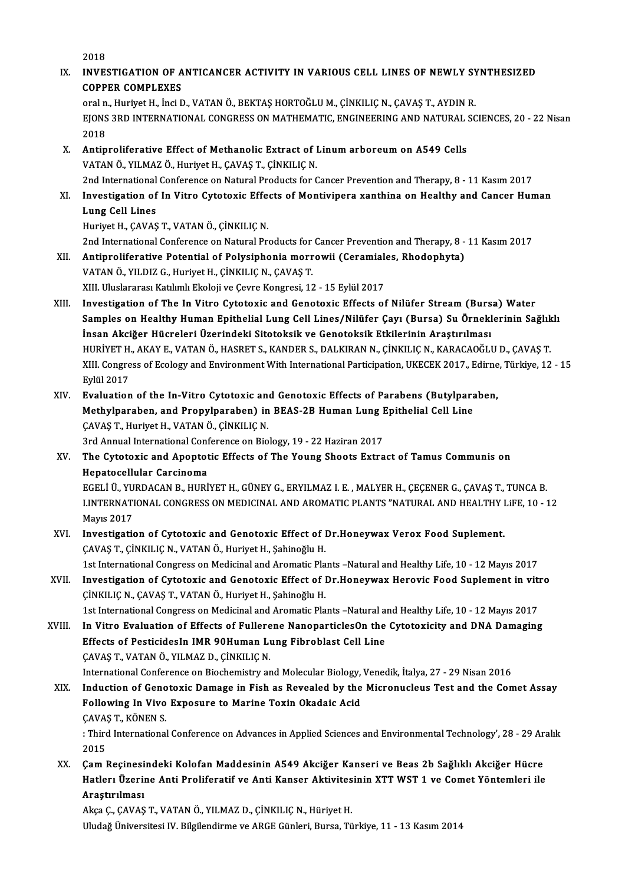2018 2018<br>IX. INVESTIGATION OF ANTICANCER ACTIVITY IN VARIOUS CELL LINES OF NEWLY SYNTHESIZED 2018<br>INVESTIGATION OF A<br>COPPER COMPLEXES<br>araln Huriyat Helingi F INVESTIGATION OF ANTICANCER ACTIVITY IN VARIOUS CELL LINES OF NEWLY SY<br>COPPER COMPLEXES<br>oraln., Huriyet H., İnci D., VATAN Ö., BEKTAŞ HORTOĞLU M., ÇİNKILIÇ N., ÇAVAŞ T., AYDIN R.<br>FIONS 2PD INTERNATIONAL CONCRESS ON MATHEMA COPPER COMPLEXES<br>oral n., Huriyet H., İnci D., VATAN Ö., BEKTAŞ HORTOĞLU M., ÇİNKILIÇ N., ÇAVAŞ T., AYDIN R.<br>EJONS 3RD INTERNATIONAL CONGRESS ON MATHEMATIC, ENGINEERING AND NATURAL SCIENCES, 20 - 22 Nisan<br>2018 oral n<br>EJONS<br>2018<br>Antin EJONS 3RD INTERNATIONAL CONGRESS ON MATHEMATIC, ENGINEERING AND NATURAL 3<br>2018<br>X. Antiproliferative Effect of Methanolic Extract of Linum arboreum on A549 Cells<br>VATAN Ö. VILMAZ Ö. Huriyet H. CAVAS T. CİNKILIC N 2018<br>X. Antiproliferative Effect of Methanolic Extract of Linum arboreum on A549 Cells<br>VATAN Ö., YILMAZ Ö., Huriyet H., ÇAVAŞ T., ÇİNKILIÇ N. Antiproliferative Effect of Methanolic Extract of Linum arboreum on A549 Cells<br>VATAN Ö., YILMAZ Ö., Huriyet H., ÇAVAŞ T., ÇİNKILIÇ N.<br>2nd International Conference on Natural Products for Cancer Prevention and Therapy, 8 - VATAN Ö., YILMAZ Ö., Huriyet H., ÇAVAŞ T., ÇİNKILIÇ N.<br>2nd International Conference on Natural Products for Cancer Prevention and Therapy, 8 - 11 Kasım 2017<br>XI. Investigation of In Vitro Cytotoxic Effects of Montiviper 2nd International<br>Investigation of<br>Lung Cell Lines<br>Hurivet H. CAVAS Investigation of In Vitro Cytotoxic Effe<br>Lung Cell Lines<br>Huriyet H., ÇAVAŞ T., VATAN Ö., ÇİNKILIÇ N.<br>2nd International Conference on Natural Pr. Lung Cell Lines<br>Huriyet H., ÇAVAŞ T., VATAN Ö., ÇİNKILIÇ N.<br>2nd International Conference on Natural Products for Cancer Prevention and Therapy, 8 - 11 Kasım 2017 Huriyet H., ÇAVAŞ T., VATAN Ö., ÇİNKILIÇ N.<br>2nd International Conference on Natural Products for Cancer Prevention and Therapy, 8 -<br>XII. Antiproliferative Potential of Polysiphonia morrowii (Ceramiales, Rhodophyta)<br>VAT 2nd International Conference on Natural Products for<br>**Antiproliferative Potential of Polysiphonia morr**<br>VATAN Ö., YILDIZ G., Huriyet H., ÇİNKILIÇ N., ÇAVAŞ T.<br>YIL Uluqlararası Katılımlı Ekoloji*ve Coure Konsussi*, 13 Antiproliferative Potential of Polysiphonia morrowii (Ceramial<br>VATAN Ö., YILDIZ G., Huriyet H., ÇİNKILIÇ N., ÇAVAŞ T.<br>XIII. Uluslararası Katılımlı Ekoloji ve Çevre Kongresi, 12 - 15 Eylül 2017<br>Investisation of The In Vitre VATAN Ö., YILDIZ G., Huriyet H., ÇİNKILIÇ N., ÇAVAŞ T.<br>XIII. Uluslararası Katılımlı Ekoloji ve Çevre Kongresi, 12 - 15 Eylül 2017<br>XIII. Investigation of The In Vitro Cytotoxic and Genotoxic Effects of Nilüfer Stream (B XIII. Uluslararası Katılımlı Ekoloji ve Çevre Kongresi, 12 - 15 Eylül 2017<br>Investigation of The In Vitro Cytotoxic and Genotoxic Effects of Nilüfer Stream (Bursa) Water<br>Samples on Healthy Human Epithelial Lung Cell Lines/N Investigation of The In Vitro Cytotoxic and Genotoxic Effects of Nilüfer Stream (Burs<br>Samples on Healthy Human Epithelial Lung Cell Lines/Nilüfer Çayı (Bursa) Su Örnekl<br>İnsan Akciğer Hücreleri Üzerindeki Sitotoksik ve Geno Samples on Healthy Human Epithelial Lung Cell Lines/Nilüfer Çayı (Bursa) Su Örneklerinin Sağlık<br>İnsan Akciğer Hücreleri Üzerindeki Sitotoksik ve Genotoksik Etkilerinin Araştırılması<br>HURİYET H., AKAY E., VATAN Ö., HASRET S. İnsan Akciğer Hücreleri Üzerindeki Sitotoksik ve Genotoksik Etkilerinin Araştırılması<br>HURİYET H., AKAY E., VATAN Ö., HASRET S., KANDER S., DALKIRAN N., ÇİNKILIÇ N., KARACAOĞLU D., ÇAVAŞ T.<br>XIII. Congress of Ecology and Env HURİYET H.<br>XIII. Congre<br>Eylül 2017<br>Evaluation XIII. Congress of Ecology and Environment With International Participation, UKECEK 2017., Edirne<br>Eylül 2017<br>XIV. Evaluation of the In-Vitro Cytotoxic and Genotoxic Effects of Parabens (Butylparaben,<br>Methylparaben, and Prop Eylül 2017<br>Evaluation of the In-Vitro Cytotoxic and Genotoxic Effects of Parabens (Butylpara<br>Methylparaben, and Propylparaben) in BEAS-2B Human Lung Epithelial Cell Line<br>CAVAS T. Hurivet H. VATAN Ö. CİNKU IC N Evaluation of the In-Vitro Cytotoxic an<br>Methylparaben, and Propylparaben) in<br>ÇAVAŞ T., Huriyet H., VATAN Ö., ÇİNKILIÇ N.<br>2rd Annual International Conference en Bio Methylparaben, and Propylparaben) in BEAS-2B Human Lung Epithelial Cell Line<br>CAVAŞ T., Huriyet H., VATAN Ö., ÇİNKILIÇ N.<br>3rd Annual International Conference on Biology, 19 - 22 Haziran 2017 CAVAS T., Huriyet H., VATAN Ö., ÇİNKILIÇ N.<br>3rd Annual International Conference on Biology, 19 - 22 Haziran 2017<br>XV. The Cytotoxic and Apoptotic Effects of The Young Shoots Extract of Tamus Communis on<br>Hanatocellular C **3rd Annual International Conf**<br>The Cytotoxic and Apoptot<br>Hepatocellular Carcinoma<br>FCELLÜ VURDACAN P. HURI The Cytotoxic and Apoptotic Effects of The Young Shoots Extract of Tamus Communis on<br>Hepatocellular Carcinoma<br>EGELİ Ü., YURDACAN B., HURİYET H., GÜNEY G., ERYILMAZ I. E. , MALYER H., ÇEÇENER G., ÇAVAŞ T., TUNCA B.<br>LINTERNA Hepatocellular Carcinoma<br>EGELİ Ü., YURDACAN B., HURİYET H., GÜNEY G., ERYILMAZ I. E. , MALYER H., ÇEÇENER G., ÇAVAŞ T., TUNCA B.<br>LINTERNATIONAL CONGRESS ON MEDICINAL AND AROMATIC PLANTS "NATURAL AND HEALTHY LiFE, 10 - 12<br>M EGELİ Ü., YU<br>I.INTERNATI<br>Mayıs 2017<br>Investisatis I.INTERNATIONAL CONGRESS ON MEDICINAL AND AROMATIC PLANTS "NATURAL AND HEALTHY I<br>Mayıs 2017<br>XVI. Investigation of Cytotoxic and Genotoxic Effect of Dr.Honeywax Verox Food Suplement. Mayıs 2017<br>Investigation of Cytotoxic and Genotoxic Effect of I<br>ÇAVAŞ T., ÇİNKILIÇ N., VATAN Ö., Huriyet H., Şahinoğlu H.<br>1st International Congress en Medicinal and Aramatic Pla Investigation of Cytotoxic and Genotoxic Effect of Dr.Honeywax Verox Food Suplement.<br>ÇAVAŞ T., ÇİNKILIÇ N., VATAN Ö., Huriyet H., Şahinoğlu H.<br>1st International Congress on Medicinal and Aromatic Plants –Natural and Health CAVAŞ T., ÇİNKILIÇ N., VATAN Ö., Huriyet H., Şahinoğlu H.<br>1st International Congress on Medicinal and Aromatic Plants –Natural and Healthy Life, 10 - 12 Mayıs 2017<br>XVII. Investigation of Cytotoxic and Genotoxic Effect of D 1st International Congress on Medicinal and Aromatic Pla<br>Investigation of Cytotoxic and Genotoxic Effect of I<br>ÇİNKILIÇ N., ÇAVAŞ T., VATAN Ö., Huriyet H., Şahinoğlu H.<br>1st International Congress on Medicinal and Aromatic P Investigation of Cytotoxic and Genotoxic Effect of Dr.Honeywax Herovic Food Suplement in vitr<br>CİNKILIÇ N., ÇAVAŞ T., VATAN Ö., Huriyet H., Şahinoğlu H.<br>1st International Congress on Medicinal and Aromatic Plants –Natural a CINKILIC N., CAVAS T., VATAN Ö., Huriyet H., Sahinoğlu H.<br>1st International Congress on Medicinal and Aromatic Plants –Natural and Healthy Life, 10 - 12 Mayıs 2017<br>XVIII. In Vitro Evaluation of Effects of Fullerene Nanopar 1st International Congress on Medicinal and Aromatic Plants –Natural and In Vitro Evaluation of Effects of Fullerene NanoparticlesOn the<br>Effects of PesticidesIn IMR 90Human Lung Fibroblast Cell Line<br>CAVAS T. VATANÖ XILMAZ In Vitro Evaluation of Effects of Fullere<br>Effects of PesticidesIn IMR 90Human Lu<br>ÇAVAŞ T., VATAN Ö., YILMAZ D., ÇİNKILIÇ N.<br>International Conference on Biochamistry er Effects of PesticidesIn IMR 90Human Lung Fibroblast Cell Line<br>ÇAVAŞ T., VATAN Ö., YILMAZ D., ÇİNKILIÇ N.<br>International Conference on Biochemistry and Molecular Biology, Venedik, İtalya, 27 - 29 Nisan 2016<br>Industion of Cons CAVAS T., VATAN Ö., YILMAZ D., ÇİNKILIÇ N.<br>International Conference on Biochemistry and Molecular Biology, Venedik, İtalya, 27 - 29 Nisan 2016<br>XIX. Induction of Genotoxic Damage in Fish as Revealed by the Micronucleus International Conference on Biochemistry and Molecular Biology,<br>Induction of Genotoxic Damage in Fish as Revealed by the<br>Following In Vivo Exposure to Marine Toxin Okadaic Acid<br>CAVAS T, KÖNEN S **Induction of Geno<br>Following In Vivo<br>ÇAVAŞ T., KÖNEN S.<br>. Third International** :Third International Conference on Advances in Applied Sciences and Environmental Technology', 28 - 29 Aralık<br>Third International Conference on Advances in Applied Sciences and Environmental Technology', 28 - 29 Aralık<br>201 CAVAS T, KÖNEN S XX. Third International Conference on Advances in Applied Sciences and Environmental Technology', 28 - 29 Ar:<br>2015<br>XX. Cam Reçinesindeki Kolofan Maddesinin A549 Akciğer Kanseri ve Beas 2b Sağlıklı Akciğer Hücre<br>Hetlem Üsen 2015<br>Çam Reçinesindeki Kolofan Maddesinin A549 Akciğer Kanseri ve Beas 2b Sağlıklı Akciğer Hücre<br>Hatlerı Üzerine Anti Proliferatif ve Anti Kanser Aktivitesinin XTT WST 1 ve Comet Yöntemleri ile Çam Reçinesi<br>Hatlerı Üzeril<br>Araştırılması<br>Aksa C. CAVAS Hatlerı Üzerine Anti Proliferatif ve Anti Kanser Aktivites<br>Araştırılması<br>Akça Ç., ÇAVAŞ T., VATAN Ö., YILMAZ D., ÇİNKILIÇ N., Hüriyet H.<br>Uludağ Üniversitesi IV. Bilgilandiyme ve ABGE Günleri, Burse Tü

Araştırılması<br>Akça Ç., ÇAVAŞ T., VATAN Ö., YILMAZ D., ÇİNKILIÇ N., Hüriyet H.<br>Uludağ Üniversitesi IV. Bilgilendirme ve ARGE Günleri, Bursa, Türkiye, 11 - 13 Kasım 2014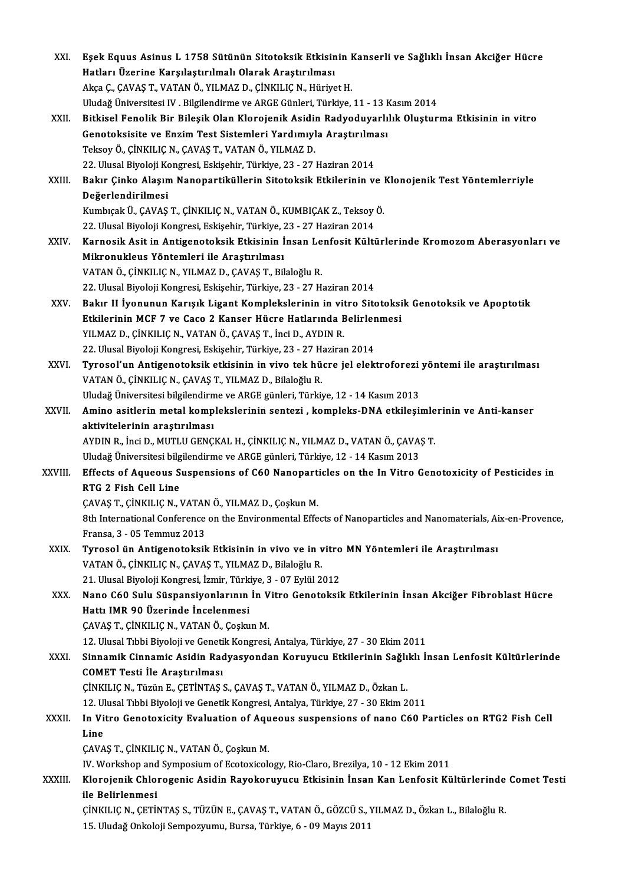| XXI.    | Eşek Equus Asinus L 1758 Sütünün Sitotoksik Etkisinin Kanserli ve Sağlıklı İnsan Akciğer Hücre                 |
|---------|----------------------------------------------------------------------------------------------------------------|
|         | Hatları Üzerine Karşılaştırılmalı Olarak Araştırılması                                                         |
|         | Akça Ç., ÇAVAŞ T., VATAN Ö., YILMAZ D., ÇİNKILIÇ N., Hüriyet H.                                                |
|         | Uludağ Üniversitesi IV. Bilgilendirme ve ARGE Günleri, Türkiye, 11 - 13 Kasım 2014                             |
| XXII.   | Bitkisel Fenolik Bir Bileşik Olan Klorojenik Asidin Radyoduyarlılık Oluşturma Etkisinin in vitro               |
|         | Genotoksisite ve Enzim Test Sistemleri Yardımıyla Araştırılması                                                |
|         | Teksoy Ö., ÇİNKILIÇ N., ÇAVAŞ T., VATAN Ö., YILMAZ D.                                                          |
|         | 22. Ulusal Biyoloji Kongresi, Eskişehir, Türkiye, 23 - 27 Haziran 2014                                         |
| XXIII.  | Bakır Çinko Alaşım Nanopartiküllerin Sitotoksik Etkilerinin ve Klonojenik Test Yöntemlerriyle                  |
|         | Değerlendirilmesi                                                                                              |
|         | Kumbıçak Ü., ÇAVAŞ T., ÇİNKILIÇ N., VATAN Ö., KUMBIÇAK Z., Teksoy Ö.                                           |
|         | 22. Ulusal Biyoloji Kongresi, Eskişehir, Türkiye, 23 - 27 Haziran 2014                                         |
| XXIV.   | Karnosik Asit in Antigenotoksik Etkisinin İnsan Lenfosit Kültürlerinde Kromozom Aberasyonları ve               |
|         | Mikronukleus Yöntemleri ile Araştırılması                                                                      |
|         | VATAN Ö., ÇİNKILIÇ N., YILMAZ D., ÇAVAŞ T., Bilaloğlu R.                                                       |
|         | 22. Ulusal Biyoloji Kongresi, Eskişehir, Türkiye, 23 - 27 Haziran 2014                                         |
| XXV.    | Bakır II İyonunun Karışık Ligant Komplekslerinin in vitro Sitotoksik Genotoksik ve Apoptotik                   |
|         | Etkilerinin MCF 7 ve Caco 2 Kanser Hücre Hatlarında Belirlenmesi                                               |
|         | YILMAZ D., ÇİNKILIÇ N., VATAN Ö., ÇAVAŞ T., İnci D., AYDIN R.                                                  |
|         | 22. Ulusal Biyoloji Kongresi, Eskişehir, Türkiye, 23 - 27 Haziran 2014                                         |
| XXVI.   | Tyrosol'un Antigenotoksik etkisinin in vivo tek hücre jel elektroforezi yöntemi ile araştırılması              |
|         | VATAN Ö., ÇİNKILIÇ N., ÇAVAŞ T., YILMAZ D., Bilaloğlu R.                                                       |
|         | Uludağ Üniversitesi bilgilendirme ve ARGE günleri, Türkiye, 12 - 14 Kasım 2013                                 |
| XXVII.  | Amino asitlerin metal komplekslerinin sentezi, kompleks-DNA etkileşimlerinin ve Anti-kanser                    |
|         | aktivitelerinin araştırılması                                                                                  |
|         | AYDIN R., İnci D., MUTLU GENÇKAL H., ÇİNKILIÇ N., YILMAZ D., VATAN Ö., ÇAVAŞ T.                                |
|         | Uludağ Üniversitesi bilgilendirme ve ARGE günleri, Türkiye, 12 - 14 Kasım 2013                                 |
| XXVIII. | Effects of Aqueous Suspensions of C60 Nanoparticles on the In Vitro Genotoxicity of Pesticides in              |
|         | RTG 2 Fish Cell Line                                                                                           |
|         | ÇAVAŞ T., ÇİNKILIÇ N., VATAN Ö., YILMAZ D., Çoşkun M.                                                          |
|         | 8th International Conference on the Environmental Effects of Nanoparticles and Nanomaterials, Aix-en-Provence, |
|         | Fransa, 3 - 05 Temmuz 2013                                                                                     |
| XXIX.   | Tyrosol ün Antigenotoksik Etkisinin in vivo ve in vitro MN Yöntemleri ile Araştırılması                        |
|         | VATAN Ö., ÇİNKILIÇ N., ÇAVAŞ T., YILMAZ D., Bilaloğlu R.                                                       |
|         | 21. Ulusal Biyoloji Kongresi, İzmir, Türkiye, 3 - 07 Eylül 2012                                                |
| XXX.    | Nano C60 Sulu Süspansiyonlarının İn Vitro Genotoksik Etkilerinin İnsan Akciğer Fibroblast Hücre                |
|         | Hattı IMR 90 Üzerinde İncelenmesi                                                                              |
|         | ÇAVAŞ T., ÇİNKILIÇ N., VATAN Ö., Çoşkun M.                                                                     |
|         | 12. Ulusal Tıbbi Biyoloji ve Genetik Kongresi, Antalya, Türkiye, 27 - 30 Ekim 2011                             |
| XXXI.   | Sinnamik Cinnamic Asidin Radyasyondan Koruyucu Etkilerinin Sağlıklı İnsan Lenfosit Kültürlerinde               |
|         | <b>COMET Testi İle Araştırılması</b>                                                                           |
|         | ÇİNKILIÇ N., Tüzün E., ÇETİNTAŞ S., ÇAVAŞ T., VATAN Ö., YILMAZ D., Özkan L.                                    |
|         | 12. Ulusal Tıbbi Biyoloji ve Genetik Kongresi, Antalya, Türkiye, 27 - 30 Ekim 2011                             |
| XXXII.  | In Vitro Genotoxicity Evaluation of Aqueous suspensions of nano C60 Particles on RTG2 Fish Cell                |
|         | Line                                                                                                           |
|         | ÇAVAŞ T., ÇİNKILIÇ N., VATAN Ö., Çoşkun M.                                                                     |
|         | IV. Workshop and Symposium of Ecotoxicology, Rio-Claro, Brezilya, 10 - 12 Ekim 2011                            |
| XXXIII. | Klorojenik Chlorogenic Asidin Rayokoruyucu Etkisinin İnsan Kan Lenfosit Kültürlerinde Comet Testi              |
|         | ile Belirlenmesi                                                                                               |
|         | ÇİNKILIÇ N., ÇETİNTAŞ S., TÜZÜN E., ÇAVAŞ T., VATAN Ö., GÖZCÜ S., YILMAZ D., Özkan L., Bilaloğlu R.            |
|         | 15. Uludağ Onkoloji Sempozyumu, Bursa, Türkiye, 6 - 09 Mayıs 2011                                              |
|         |                                                                                                                |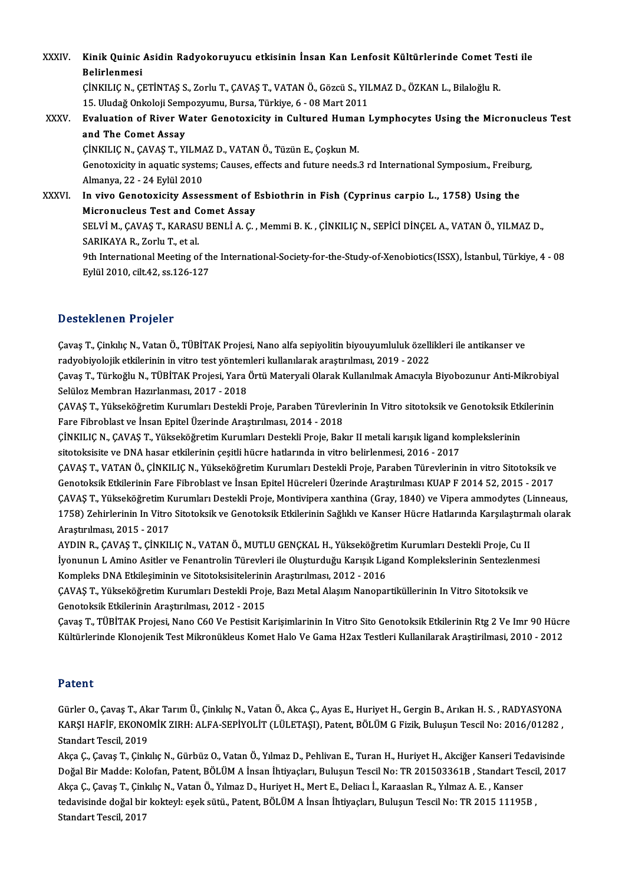XXXIV. Kinik Quinic Asidin Radyokoruyucu etkisinin İnsan Kan Lenfosit Kültürlerinde Comet Testi ile Kinik Quinic<br>Belirlenmesi<br>Cinvu IC N. Ci Kinik Quinic Asidin Radyokoruyucu etkisinin İnsan Kan Lenfosit Kültürlerinde Comet T<br>Belirlenmesi<br>ÇİNKILIÇ N.,ÇETİNTAŞ S., Zorlu T., ÇAVAŞ T., VATAN Ö., Gözcü S., YILMAZ D., ÖZKAN L., Bilaloğlu R.<br>15 Uludağ Onkolaji Semper Belirlenmesi<br>ÇİNKILIÇ N., ÇETİNTAŞ S., Zorlu T., ÇAVAŞ T., VATAN Ö., Gözcü S., YII<br>15. Uludağ Onkoloji Sempozyumu, Bursa, Türkiye, 6 - 08 Mart 2011<br>Fyalustian of Biyar Watar Canatavisity in Cultured Human I CINKILIC N., CETINTAS S., Zorlu T., CAVAS T., VATAN Ö., Gözcü S., YILMAZ D., ÖZKAN L., Bilaloğlu R.<br>15. Uludağ Onkoloji Sempozyumu, Bursa, Türkiye, 6 - 08 Mart 2011<br>XXXV. Evaluation of River Water Genotoxicity in Cultured 15. Uludağ Onkoloji Sem<br>**Evaluation of River W<br>and The Comet Assay**<br>C<sup>INVII IC N. CAVAS T. VI</sup> Evaluation of River Water Genotoxicity in Cultured Huma:<br>and The Comet Assay<br>ÇİNKILIÇ N., ÇAVAŞ T., YILMAZ D., VATAN Ö., Tüzün E., Çoşkun M.<br>Constavisity in aquatis systems: Causes, effects and future needs . Genotoxicity in aquatic systems; Causes, effects and future needs.3 rd International Symposium., Freiburg, Almanya, 22 - 24 Eylül 2010 CINKILIC N., CAVAŞ T., YILMA<br>Genotoxicity in aquatic system<br>Almanya, 22 - 24 Eylül 2010<br>In vive Ceneterisity Asse Genotoxicity in aquatic systems; Causes, effects and future needs.3 rd International Symposium., Freibural Almanya, 22 - 24 Eylül 2010<br>XXXVI. In vivo Genotoxicity Assessment of Esbiothrin in Fish (Cyprinus carpio L., 1758) Almanya, 22 - 24 Eylül 2010<br>In vivo Genotoxicity Assessment of E<br>Micronucleus Test and Comet Assay<br>SELVİM CAVAS T. KARASU PENLİA C SELVİ M., ÇAVAŞ T., KARASU BENLİ A. Ç. , Memmi B. K. , ÇİNKILIÇ N., SEPİCİ DİNÇEL A., VATAN Ö., YILMAZ D.,<br>SARIKAYA R., Zorlu T., et al. Micronucleus Test and Comet Assay SELVİ M., ÇAVAŞ T., KARASU BENLİ A. Ç. , Memmi B. K. , ÇİNKILIÇ N., SEPİCİ DİNÇEL A., VATAN Ö., YILMAZ D.,<br>SARIKAYA R., Zorlu T., et al.<br>9th International Meeting of the International-Society-for-the-Study-of-Xenobiotics(I SARIKAYA R., Zorlu T., et al.<br>9th International Meeting of th<br>Eylül 2010, cilt.42, ss.126-127

# Eylül 2010, cilt.42, ss.126-127<br>Desteklenen Projeler

Desteklenen Projeler<br>Çavaş T., Çinkılıç N., Vatan Ö., TÜBİTAK Projesi, Nano alfa sepiyolitin biyouyumluluk özellikleri ile antikanser ve<br>radvehiyelejik etkilerinin in vitre test vöntemleri kullanılarak arastırılması, 2019, radyobiyolomu i 1990'dir.<br>Çavaş T., Çinkılıç N., Vatan Ö., TÜBİTAK Projesi, Nano alfa sepiyolitin biyouyumluluk özelli<br>radyobiyolojik etkilerinin in vitro test yöntemleri kullanılarak araştırılması, 2019 - 2022<br>Cavaş T. Tü Çavaş T., Çinkılıç N., Vatan Ö., TÜBİTAK Projesi, Nano alfa sepiyolitin biyouyumluluk özellikleri ile antikanser ve<br>radyobiyolojik etkilerinin in vitro test yöntemleri kullanılarak araştırılması, 2019 - 2022<br>Çavaş T., Türk

radyobiyolojik etkilerinin in vitro test yöntemleri kullanılarak araştırılması, 2019 - 2022<br>Çavaş T., Türkoğlu N., TÜBİTAK Projesi, Yara Örtü Materyali Olarak Kullanılmak Amacıyla<br>Selüloz Membran Hazırlanması, 2017 - 2018 Çavaş T., Türkoğlu N., TÜBİTAK Projesi, Yara Örtü Materyali Olarak Kullanılmak Amacıyla Biyobozunur Anti-Mikrobiya<br>Selüloz Membran Hazırlanması, 2017 - 2018<br>ÇAVAŞ T., Yükseköğretim Kurumları Destekli Proje, Paraben Türevle

ÇAVAŞ T., Yükseköğretim Kurumları Destekli Proje, Paraben Türevlerinin In Vitro sitotoksik ve Genotoksik Etkilerinin<br>Fare Fibroblast ve İnsan Epitel Üzerinde Araştırılması, 2014 - 2018 ÇAVAŞ T., Yükseköğretim Kurumları Destekli Proje, Paraben Türevlerinin In Vitro sitotoksik ve Genotoksik Etk<br>Fare Fibroblast ve İnsan Epitel Üzerinde Araştırılması, 2014 - 2018<br>ÇİNKILIÇ N., ÇAVAŞ T., Yükseköğretim Kurumlar

Fare Fibroblast ve İnsan Epitel Üzerinde Araştırılması, 2014 - 2018<br>ÇİNKILIÇ N., ÇAVAŞ T., Yükseköğretim Kurumları Destekli Proje, Bakır II metali karışık ligand ko<br>sitotoksisite ve DNA hasar etkilerinin çeşitli hücre hatl ÇİNKILIÇ N., ÇAVAŞ T., Yükseköğretim Kurumları Destekli Proje, Bakır II metali karışık ligand komplekslerinin<br>sitotoksisite ve DNA hasar etkilerinin çeşitli hücre hatlarında in vitro belirlenmesi, 2016 - 2017<br>ÇAVAŞ T., VAT

sitotoksisite ve DNA hasar etkilerinin çeşitli hücre hatlarında in vitro belirlenmesi, 2016 - 2017<br>ÇAVAŞ T., VATAN Ö., ÇİNKILIÇ N., Yükseköğretim Kurumları Destekli Proje, Paraben Türevlerinin in vitro Sitotoksik ve<br>Genoto ÇAVAŞ T., VATAN Ö., ÇİNKILIÇ N., Yükseköğretim Kurumları Destekli Proje, Paraben Türevlerinin in vitro Sitotoksik ve<br>Genotoksik Etkilerinin Fare Fibroblast ve İnsan Epitel Hücreleri Üzerinde Araştırılması KUAP F 2014 52, 2 Genotoksik Etkilerinin Fare Fibroblast ve İnsan Epitel Hücreleri Üzerinde Araştırılması KUAP F 2014 52, 2015 - 2017<br>ÇAVAŞ T., Yükseköğretim Kurumları Destekli Proje, Montivipera xanthina (Gray, 1840) ve Vipera ammodytes (L CAVAŞ T., Yükseköğretim K<br>1758) Zehirlerinin In Vitro<br>Araştırılması, 2015 - 2017<br>AYDIN B. GAVAS T. CİNKU 1758) Zehirlerinin In Vitro Sitotoksik ve Genotoksik Etkilerinin Sağlıklı ve Kanser Hücre Hatlarında Karşılaştırmalı olarak<br>Araştırılması, 2015 - 2017<br>AYDIN R., ÇAVAŞ T., ÇİNKILIÇ N., VATAN Ö., MUTLU GENÇKAL H., Yükseköğre

AYDIN R., ÇAVAŞ T., ÇİNKILIÇ N., VATAN Ö., MUTLU GENÇKAL H., Yükseköğretim Kurumları Destekli Proje, Cu II AYDIN R., ÇAVAŞ T., ÇİNKILIÇ N., VATAN Ö., MUTLU GENÇKAL H., Yükseköğret<br>İyonunun L Amino Asitler ve Fenantrolin Türevleri ile Oluşturduğu Karışık Lig<br>Kompleks DNA Etkileşiminin ve Sitotoksisitelerinin Araştırılması, 2012

ÇAVAŞ T., Yükseköğretim Kurumları Destekli Proje, Bazı Metal Alaşım Nanopartiküllerinin In Vitro Sitotoksik ve<br>Genotoksik Etkilerinin Araştırılması, 2012 - 2015 Kompleks DNA Etkileşiminin ve Sitotoksisitelerinin<br>ÇAVAŞ T., Yükseköğretim Kurumları Destekli Proj<br>Genotoksik Etkilerinin Araştırılması, 2012 - 2015<br>Cavaş T. Tüpitrav Projesi Nape C60 Ve Pestisit V

Çavaş T., TÜBİTAK Projesi, Nano C60 Ve Pestisit Karişimlarinin In Vitro Sito Genotoksik Etkilerinin Rtg 2 Ve Imr 90 Hücre Kültürlerinde Klonojenik Test Mikronükleus Komet Halo Ve Gama H2ax Testleri Kullanilarak Araştirilmasi, 2010 - 2012

## Patent

GürlerO.,ÇavaşT.,AkarTarımÜ.,ÇinkılıçN.,VatanÖ.,AkcaÇ.,AyasE.,HuriyetH.,GerginB.,ArıkanH.S. ,RADYASYONA r aterre<br>Gürler O., Çavaş T., Akar Tarım Ü., Çinkılıç N., Vatan Ö., Akca Ç., Ayas E., Huriyet H., Gergin B., Arıkan H. S. , RADYASYONA<br>KARŞI HAFİF, EKONOMİK ZIRH: ALFA-SEPİYOLİT (LÜLETAŞI), Patent, BÖLÜM G Fizik, Buluşun T Gürler O., Çavaş T., Ak<br>KARŞI HAFİF, EKONO<br>Standart Tescil, 2019<br>Akas G. Gavaş T. Ginla KARŞI HAFİF, EKONOMİK ZIRH: ALFA-SEPİYOLİT (LÜLETAŞI), Patent, BÖLÜM G Fizik, Buluşun Tescil No: 2016/01282 ,<br>Standart Tescil, 2019<br>Akça Ç., Çavaş T., Çinkılıç N., Gürbüz O., Vatan Ö., Yılmaz D., Pehlivan E., Turan H., Hur

Standart Tescil, 2019<br>Akça Ç., Çavaş T., Çinkılıç N., Gürbüz O., Vatan Ö., Yılmaz D., Pehlivan E., Turan H., Huriyet H., Akciğer Kanseri Tedavisinde<br>Doğal Bir Madde: Kolofan, Patent, BÖLÜM A İnsan İhtiyaçları, Buluşun Tesc Akça Ç., Çavaş T., Çinkılıç N., Gürbüz O., Vatan Ö., Yılmaz D., Pehlivan E., Turan H., Huriyet H., Akciğer Kanseri Te<br>Doğal Bir Madde: Kolofan, Patent, BÖLÜM A İnsan İhtiyaçları, Buluşun Tescil No: TR 201503361B , Standart Doğal Bir Madde: Kolofan, Patent, BÖLÜM A İnsan İhtiyaçları, Buluşun Tescil No: TR 201503361B , Standart Tesci<br>Akça Ç., Çavaş T., Çinkılıç N., Vatan Ö., Yılmaz D., Huriyet H., Mert E., Deliacı İ., Karaaslan R., Yılmaz A. E Akça Ç., Çavaş T., Çinl<br>tedavisinde doğal bir<br>Standart Tescil, 2017